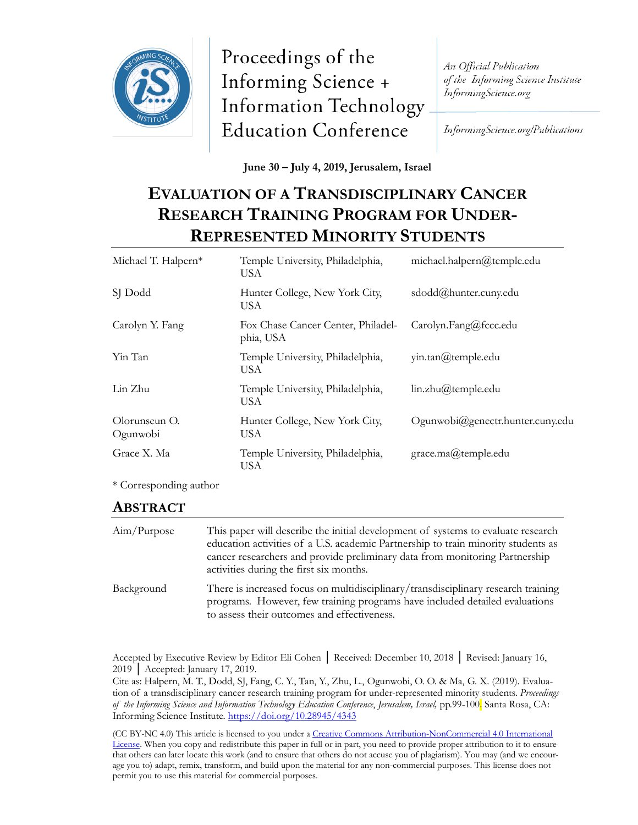

Proceedings of the Informing Science + **Information Technology Education Conference** 

An Official Publication of the Informing Science Institute InformingScience.org

InformingScience.org/Publications

**June 30 – July 4, 2019, Jerusalem, Israel**

# **EVALUATION OF A TRANSDISCIPLINARY CANCER RESEARCH TRAINING PROGRAM FOR UNDER-REPRESENTED MINORITY STUDENTS**

| Michael T. Halpern*       | michael.halpern@temple.edu<br>Temple University, Philadelphia,<br>USA               |                                  |
|---------------------------|-------------------------------------------------------------------------------------|----------------------------------|
| SJ Dodd                   | Hunter College, New York City,<br><b>USA</b>                                        | sdodd@hunter.cuny.edu            |
| Carolyn Y. Fang           | Fox Chase Cancer Center, Philadel-<br>Carolyn.Fang@fccc.edu<br>phia, USA            |                                  |
| Yin Tan                   | Temple University, Philadelphia,<br>$\text{win.tan}(\widehat{a})$ temple.edu<br>USA |                                  |
| Lin Zhu                   | Temple University, Philadelphia,<br>USA                                             | lin.zhu@temple.edu               |
| Olorunseun O.<br>Ogunwobi | Hunter College, New York City,<br>USA                                               | Ogunwobi@genectr.hunter.cuny.edu |
| Grace X. Ma               | Temple University, Philadelphia,<br>USA                                             | grace.ma@temple.edu              |

\* Corresponding author

#### **ABSTRACT**

| Aim/Purpose | This paper will describe the initial development of systems to evaluate research<br>education activities of a U.S. academic Partnership to train minority students as<br>cancer researchers and provide preliminary data from monitoring Partnership<br>activities during the first six months. |
|-------------|-------------------------------------------------------------------------------------------------------------------------------------------------------------------------------------------------------------------------------------------------------------------------------------------------|
| Background  | There is increased focus on multidisciplinary/transdisciplinary research training<br>programs. However, few training programs have included detailed evaluations<br>to assess their outcomes and effectiveness.                                                                                 |

Accepted by Executive Review by Editor Eli Cohen │ Received: December 10, 2018 │ Revised: January 16, 2019 | Accepted: January 17, 2019.

Cite as: Halpern, M. T., Dodd, SJ, Fang, C. Y., Tan, Y., Zhu, L., Ogunwobi, O. O. & Ma, G. X. (2019). Evaluation of a transdisciplinary cancer research training program for under-represented minority students. *Proceedings of the Informing Science and Information Technology Education Conference*, *Jerusalem, Israel,* pp.99-100. Santa Rosa, CA: Informing Science Institute.<https://doi.org/10.28945/4343>

(CC BY-NC 4.0) This article is licensed to you under a [Creative Commons Attribution-NonCommercial 4.0 International](https://creativecommons.org/licenses/by-nc/4.0/)  [License.](https://creativecommons.org/licenses/by-nc/4.0/) When you copy and redistribute this paper in full or in part, you need to provide proper attribution to it to ensure that others can later locate this work (and to ensure that others do not accuse you of plagiarism). You may (and we encourage you to) adapt, remix, transform, and build upon the material for any non-commercial purposes. This license does not permit you to use this material for commercial purposes.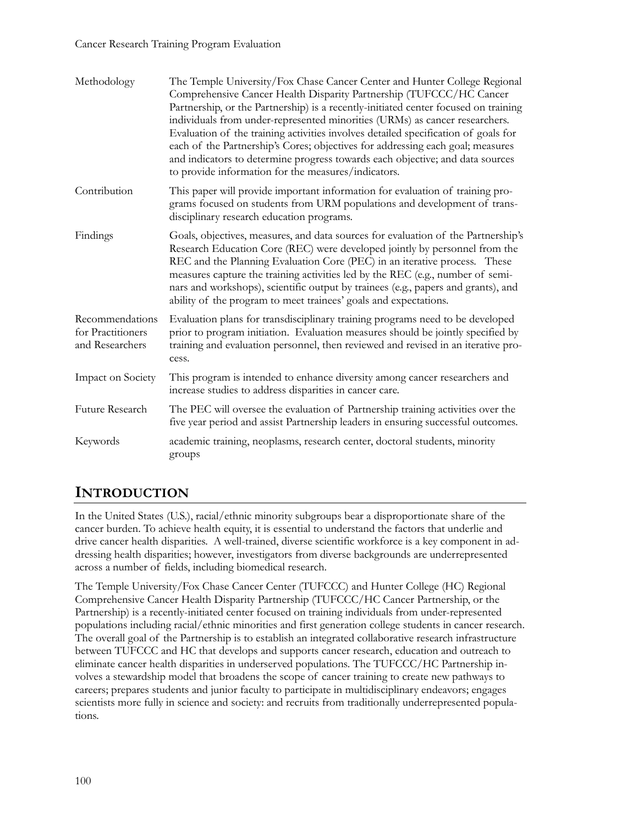#### Cancer Research Training Program Evaluation

| Methodology                                             | The Temple University/Fox Chase Cancer Center and Hunter College Regional<br>Comprehensive Cancer Health Disparity Partnership (TUFCCC/HC Cancer<br>Partnership, or the Partnership) is a recently-initiated center focused on training<br>individuals from under-represented minorities (URMs) as cancer researchers.<br>Evaluation of the training activities involves detailed specification of goals for<br>each of the Partnership's Cores; objectives for addressing each goal; measures<br>and indicators to determine progress towards each objective; and data sources<br>to provide information for the measures/indicators. |  |
|---------------------------------------------------------|----------------------------------------------------------------------------------------------------------------------------------------------------------------------------------------------------------------------------------------------------------------------------------------------------------------------------------------------------------------------------------------------------------------------------------------------------------------------------------------------------------------------------------------------------------------------------------------------------------------------------------------|--|
| Contribution                                            | This paper will provide important information for evaluation of training pro-<br>grams focused on students from URM populations and development of trans-<br>disciplinary research education programs.                                                                                                                                                                                                                                                                                                                                                                                                                                 |  |
| Findings                                                | Goals, objectives, measures, and data sources for evaluation of the Partnership's<br>Research Education Core (REC) were developed jointly by personnel from the<br>REC and the Planning Evaluation Core (PEC) in an iterative process. These<br>measures capture the training activities led by the REC (e.g., number of semi-<br>nars and workshops), scientific output by trainees (e.g., papers and grants), and<br>ability of the program to meet trainees' goals and expectations.                                                                                                                                                |  |
| Recommendations<br>for Practitioners<br>and Researchers | Evaluation plans for transdisciplinary training programs need to be developed<br>prior to program initiation. Evaluation measures should be jointly specified by<br>training and evaluation personnel, then reviewed and revised in an iterative pro-<br>cess.                                                                                                                                                                                                                                                                                                                                                                         |  |
| Impact on Society                                       | This program is intended to enhance diversity among cancer researchers and<br>increase studies to address disparities in cancer care.                                                                                                                                                                                                                                                                                                                                                                                                                                                                                                  |  |
| Future Research                                         | The PEC will oversee the evaluation of Partnership training activities over the<br>five year period and assist Partnership leaders in ensuring successful outcomes.                                                                                                                                                                                                                                                                                                                                                                                                                                                                    |  |
| Keywords                                                | academic training, neoplasms, research center, doctoral students, minority<br>groups                                                                                                                                                                                                                                                                                                                                                                                                                                                                                                                                                   |  |

## **INTRODUCTION**

In the United States (U.S.), racial/ethnic minority subgroups bear a disproportionate share of the cancer burden. To achieve health equity, it is essential to understand the factors that underlie and drive cancer health disparities. A well-trained, diverse scientific workforce is a key component in addressing health disparities; however, investigators from diverse backgrounds are underrepresented across a number of fields, including biomedical research.

The Temple University/Fox Chase Cancer Center (TUFCCC) and Hunter College (HC) Regional Comprehensive Cancer Health Disparity Partnership (TUFCCC/HC Cancer Partnership, or the Partnership) is a recently-initiated center focused on training individuals from under-represented populations including racial/ethnic minorities and first generation college students in cancer research. The overall goal of the Partnership is to establish an integrated collaborative research infrastructure between TUFCCC and HC that develops and supports cancer research, education and outreach to eliminate cancer health disparities in underserved populations. The TUFCCC/HC Partnership involves a stewardship model that broadens the scope of cancer training to create new pathways to careers; prepares students and junior faculty to participate in multidisciplinary endeavors; engages scientists more fully in science and society: and recruits from traditionally underrepresented populations.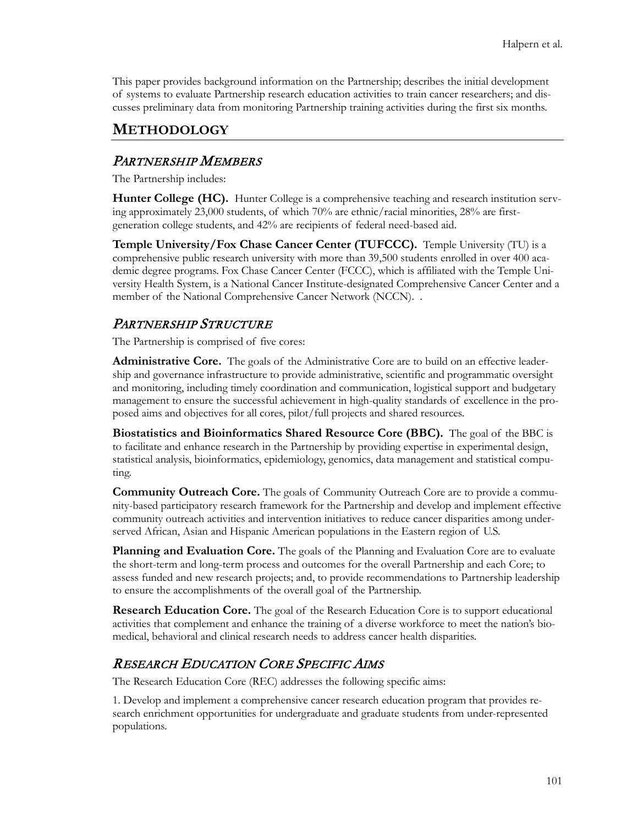This paper provides background information on the Partnership; describes the initial development of systems to evaluate Partnership research education activities to train cancer researchers; and discusses preliminary data from monitoring Partnership training activities during the first six months.

### **METHODOLOGY**

#### PARTNERSHIP MEMBERS

The Partnership includes:

**Hunter College (HC).** Hunter College is a comprehensive teaching and research institution serving approximately 23,000 students, of which 70% are ethnic/racial minorities, 28% are firstgeneration college students, and 42% are recipients of federal need-based aid.

**Temple University/Fox Chase Cancer Center (TUFCCC).** Temple University (TU) is a comprehensive public research university with more than 39,500 students enrolled in over 400 academic degree programs. Fox Chase Cancer Center (FCCC), which is affiliated with the Temple University Health System, is a National Cancer Institute-designated Comprehensive Cancer Center and a member of the National Comprehensive Cancer Network (NCCN). .

#### PARTNERSHIP STRUCTURE

The Partnership is comprised of five cores:

**Administrative Core.** The goals of the Administrative Core are to build on an effective leadership and governance infrastructure to provide administrative, scientific and programmatic oversight and monitoring, including timely coordination and communication, logistical support and budgetary management to ensure the successful achievement in high-quality standards of excellence in the proposed aims and objectives for all cores, pilot/full projects and shared resources.

**Biostatistics and Bioinformatics Shared Resource Core (BBC).** The goal of the BBC is to facilitate and enhance research in the Partnership by providing expertise in experimental design, statistical analysis, bioinformatics, epidemiology, genomics, data management and statistical computing.

**Community Outreach Core.** The goals of Community Outreach Core are to provide a community-based participatory research framework for the Partnership and develop and implement effective community outreach activities and intervention initiatives to reduce cancer disparities among underserved African, Asian and Hispanic American populations in the Eastern region of U.S.

**Planning and Evaluation Core.** The goals of the Planning and Evaluation Core are to evaluate the short-term and long-term process and outcomes for the overall Partnership and each Core; to assess funded and new research projects; and, to provide recommendations to Partnership leadership to ensure the accomplishments of the overall goal of the Partnership.

**Research Education Core.** The goal of the Research Education Core is to support educational activities that complement and enhance the training of a diverse workforce to meet the nation's biomedical, behavioral and clinical research needs to address cancer health disparities.

## RESEARCH EDUCATION CORE SPECIFIC AIMS

The Research Education Core (REC) addresses the following specific aims:

1. Develop and implement a comprehensive cancer research education program that provides research enrichment opportunities for undergraduate and graduate students from under-represented populations.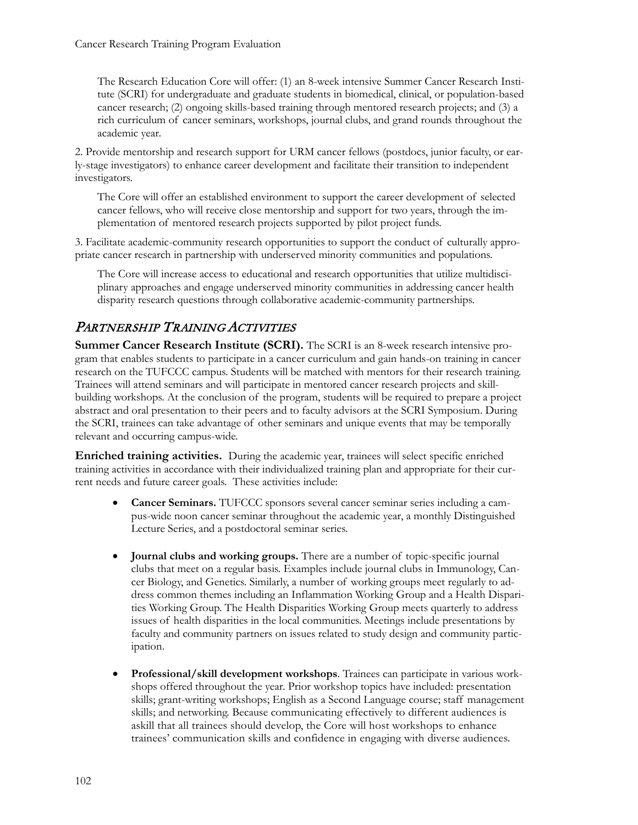The Research Education Core will offer: (1) an 8-week intensive Summer Cancer Research Institute (SCRI) for undergraduate and graduate students in biomedical, clinical, or population-based cancer research; (2) ongoing skills-based training through mentored research projects; and (3) a rich curriculum of cancer seminars, workshops, journal clubs, and grand rounds throughout the academic year.

2. Provide mentorship and research support for URM cancer fellows (postdocs, junior faculty, or early-stage investigators) to enhance career development and facilitate their transition to independent investigators.

The Core will offer an established environment to support the career development of selected cancer fellows, who will receive close mentorship and support for two years, through the implementation of mentored research projects supported by pilot project funds.

3. Facilitate academic-community research opportunities to support the conduct of culturally appropriate cancer research in partnership with underserved minority communities and populations.

The Core will increase access to educational and research opportunities that utilize multidisciplinary approaches and engage underserved minority communities in addressing cancer health disparity research questions through collaborative academic-community partnerships.

## PARTNERSHIP TRAINING ACTIVITIES

**Summer Cancer Research Institute (SCRI).** The SCRI is an 8-week research intensive program that enables students to participate in a cancer curriculum and gain hands-on training in cancer research on the TUFCCC campus. Students will be matched with mentors for their research training. Trainees will attend seminars and will participate in mentored cancer research projects and skillbuilding workshops. At the conclusion of the program, students will be required to prepare a project abstract and oral presentation to their peers and to faculty advisors at the SCRI Symposium. During the SCRI, trainees can take advantage of other seminars and unique events that may be temporally relevant and occurring campus-wide.

**Enriched training activities.** During the academic year, trainees will select specific enriched training activities in accordance with their individualized training plan and appropriate for their current needs and future career goals. These activities include:

- **Cancer Seminars.** TUFCCC sponsors several cancer seminar series including a campus-wide noon cancer seminar throughout the academic year, a monthly Distinguished Lecture Series, and a postdoctoral seminar series.
- **Journal clubs and working groups.** There are a number of topic-specific journal clubs that meet on a regular basis. Examples include journal clubs in Immunology, Cancer Biology, and Genetics. Similarly, a number of working groups meet regularly to address common themes including an Inflammation Working Group and a Health Disparities Working Group. The Health Disparities Working Group meets quarterly to address issues of health disparities in the local communities. Meetings include presentations by faculty and community partners on issues related to study design and community participation.
- **Professional/skill development workshops**. Trainees can participate in various workshops offered throughout the year. Prior workshop topics have included: presentation skills; grant-writing workshops; English as a Second Language course; staff management skills; and networking. Because communicating effectively to different audiences is askill that all trainees should develop, the Core will host workshops to enhance trainees' communication skills and confidence in engaging with diverse audiences.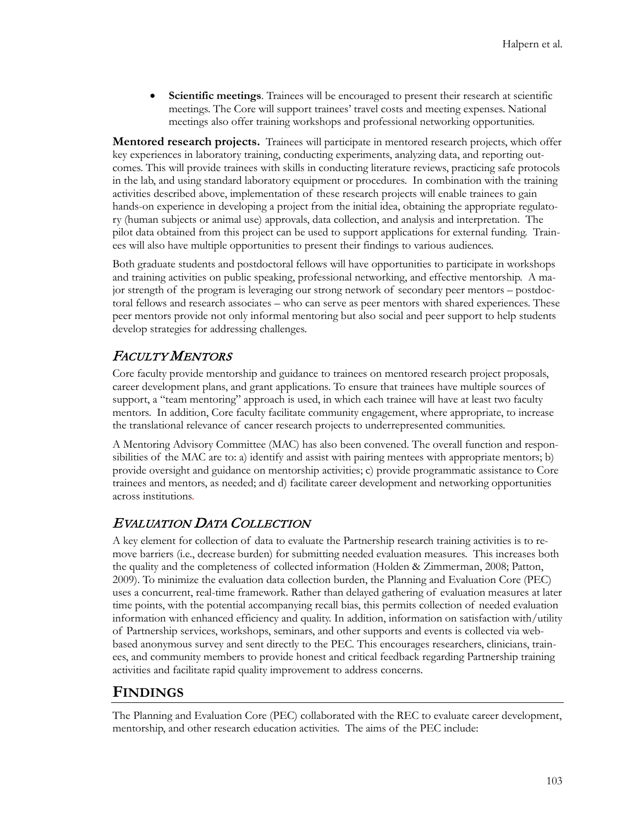• **Scientific meetings**. Trainees will be encouraged to present their research at scientific meetings. The Core will support trainees' travel costs and meeting expenses. National meetings also offer training workshops and professional networking opportunities.

**Mentored research projects.** Trainees will participate in mentored research projects, which offer key experiences in laboratory training, conducting experiments, analyzing data, and reporting outcomes. This will provide trainees with skills in conducting literature reviews, practicing safe protocols in the lab, and using standard laboratory equipment or procedures. In combination with the training activities described above, implementation of these research projects will enable trainees to gain hands-on experience in developing a project from the initial idea, obtaining the appropriate regulatory (human subjects or animal use) approvals, data collection, and analysis and interpretation. The pilot data obtained from this project can be used to support applications for external funding. Trainees will also have multiple opportunities to present their findings to various audiences.

Both graduate students and postdoctoral fellows will have opportunities to participate in workshops and training activities on public speaking, professional networking, and effective mentorship. A major strength of the program is leveraging our strong network of secondary peer mentors – postdoctoral fellows and research associates – who can serve as peer mentors with shared experiences. These peer mentors provide not only informal mentoring but also social and peer support to help students develop strategies for addressing challenges.

## FACULTY MENTORS

Core faculty provide mentorship and guidance to trainees on mentored research project proposals, career development plans, and grant applications. To ensure that trainees have multiple sources of support, a "team mentoring" approach is used, in which each trainee will have at least two faculty mentors. In addition, Core faculty facilitate community engagement, where appropriate, to increase the translational relevance of cancer research projects to underrepresented communities.

A Mentoring Advisory Committee (MAC) has also been convened. The overall function and responsibilities of the MAC are to: a) identify and assist with pairing mentees with appropriate mentors; b) provide oversight and guidance on mentorship activities; c) provide programmatic assistance to Core trainees and mentors, as needed; and d) facilitate career development and networking opportunities across institutions.

#### EVALUATION DATA COLLECTION

A key element for collection of data to evaluate the Partnership research training activities is to remove barriers (i.e., decrease burden) for submitting needed evaluation measures. This increases both the quality and the completeness of collected information (Holden & Zimmerman, 2008; Patton, 2009). To minimize the evaluation data collection burden, the Planning and Evaluation Core (PEC) uses a concurrent, real-time framework. Rather than delayed gathering of evaluation measures at later time points, with the potential accompanying recall bias, this permits collection of needed evaluation information with enhanced efficiency and quality. In addition, information on satisfaction with/utility of Partnership services, workshops, seminars, and other supports and events is collected via webbased anonymous survey and sent directly to the PEC. This encourages researchers, clinicians, trainees, and community members to provide honest and critical feedback regarding Partnership training activities and facilitate rapid quality improvement to address concerns.

## **FINDINGS**

The Planning and Evaluation Core (PEC) collaborated with the REC to evaluate career development, mentorship, and other research education activities. The aims of the PEC include: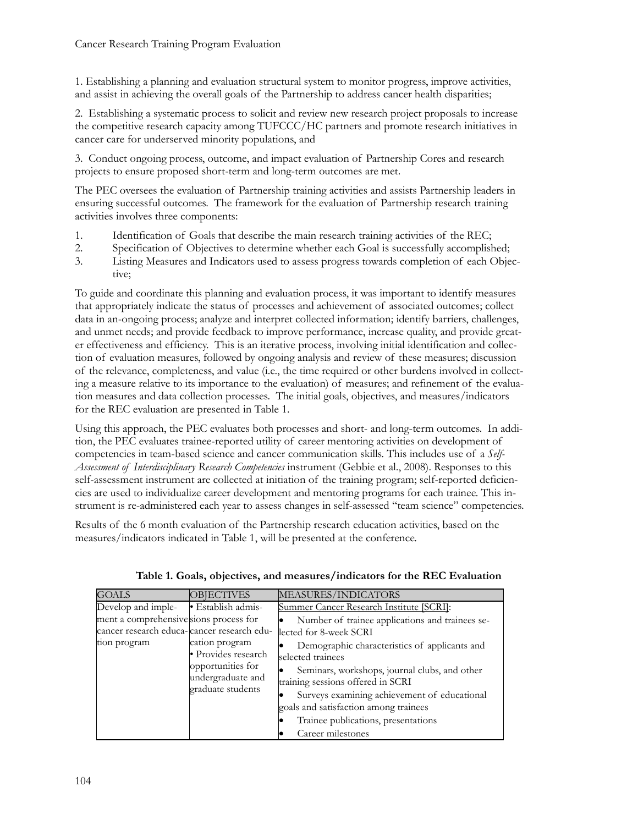#### Cancer Research Training Program Evaluation

1. Establishing a planning and evaluation structural system to monitor progress, improve activities, and assist in achieving the overall goals of the Partnership to address cancer health disparities;

2. Establishing a systematic process to solicit and review new research project proposals to increase the competitive research capacity among TUFCCC/HC partners and promote research initiatives in cancer care for underserved minority populations, and

3. Conduct ongoing process, outcome, and impact evaluation of Partnership Cores and research projects to ensure proposed short-term and long-term outcomes are met.

The PEC oversees the evaluation of Partnership training activities and assists Partnership leaders in ensuring successful outcomes. The framework for the evaluation of Partnership research training activities involves three components:

- 1. Identification of Goals that describe the main research training activities of the REC;
- 2. Specification of Objectives to determine whether each Goal is successfully accomplished;
- 3. Listing Measures and Indicators used to assess progress towards completion of each Objective;

To guide and coordinate this planning and evaluation process, it was important to identify measures that appropriately indicate the status of processes and achievement of associated outcomes; collect data in an-ongoing process; analyze and interpret collected information; identify barriers, challenges, and unmet needs; and provide feedback to improve performance, increase quality, and provide greater effectiveness and efficiency. This is an iterative process, involving initial identification and collection of evaluation measures, followed by ongoing analysis and review of these measures; discussion of the relevance, completeness, and value (i.e., the time required or other burdens involved in collecting a measure relative to its importance to the evaluation) of measures; and refinement of the evaluation measures and data collection processes. The initial goals, objectives, and measures/indicators for the REC evaluation are presented in Table 1.

Using this approach, the PEC evaluates both processes and short- and long-term outcomes. In addition, the PEC evaluates trainee-reported utility of career mentoring activities on development of competencies in team-based science and cancer communication skills. This includes use of a *Self-Assessment of Interdisciplinary Research Competencies* instrument (Gebbie et al., 2008). Responses to this self-assessment instrument are collected at initiation of the training program; self-reported deficiencies are used to individualize career development and mentoring programs for each trainee. This instrument is re-administered each year to assess changes in self-assessed "team science" competencies.

Results of the 6 month evaluation of the Partnership research education activities, based on the measures/indicators indicated in Table 1, will be presented at the conference.

| <b>GOALS</b>                                                                         | <b>OBJECTIVES</b>                                                                                    | MEASURES/INDICATORS                                                                   |
|--------------------------------------------------------------------------------------|------------------------------------------------------------------------------------------------------|---------------------------------------------------------------------------------------|
| Develop and imple-                                                                   | · Establish admis-                                                                                   | Summer Cancer Research Institute [SCRI]:                                              |
| ment a comprehensive sions process for<br>cancer research educa-cancer research edu- |                                                                                                      | Number of trainee applications and trainees se-<br>lected for 8-week SCRI             |
| tion program                                                                         | cation program<br>· Provides research<br>opportunities for<br>undergraduate and<br>graduate students | Demographic characteristics of applicants and<br>selected trainees                    |
|                                                                                      |                                                                                                      | Seminars, workshops, journal clubs, and other<br>training sessions offered in SCRI    |
|                                                                                      |                                                                                                      | Surveys examining achievement of educational<br>goals and satisfaction among trainees |
|                                                                                      |                                                                                                      | Trainee publications, presentations                                                   |
|                                                                                      |                                                                                                      | Career milestones                                                                     |

**Table 1. Goals, objectives, and measures/indicators for the REC Evaluation**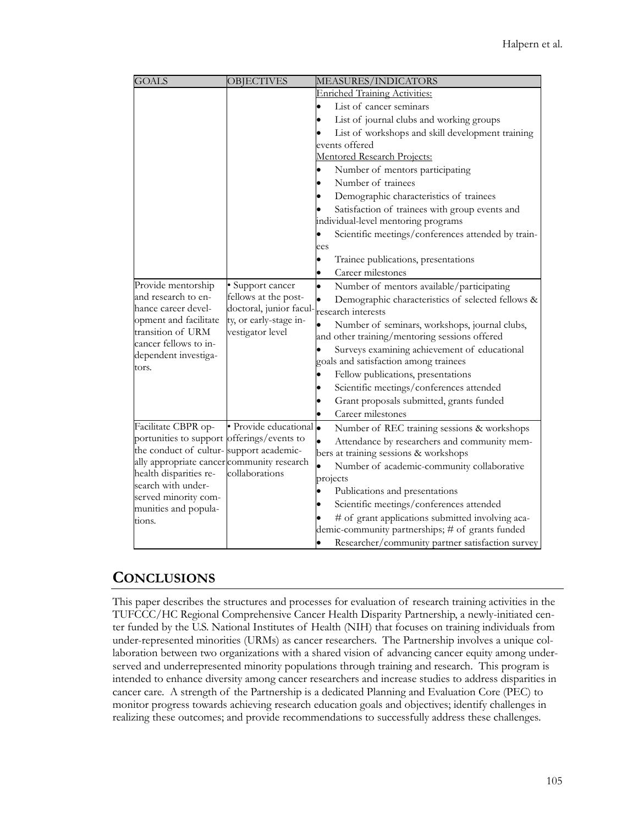| <b>GOALS</b>                                                         | <b>OBJECTIVES</b>                          | MEASURES/INDICATORS                                    |
|----------------------------------------------------------------------|--------------------------------------------|--------------------------------------------------------|
|                                                                      |                                            | <b>Enriched Training Activities:</b>                   |
|                                                                      |                                            | List of cancer seminars                                |
|                                                                      |                                            | List of journal clubs and working groups               |
|                                                                      |                                            | List of workshops and skill development training       |
|                                                                      |                                            | events offered                                         |
|                                                                      |                                            | Mentored Research Projects:                            |
|                                                                      |                                            | Number of mentors participating                        |
|                                                                      |                                            | Number of trainees                                     |
|                                                                      |                                            | Demographic characteristics of trainees                |
|                                                                      |                                            | Satisfaction of trainees with group events and         |
|                                                                      |                                            | individual-level mentoring programs                    |
|                                                                      |                                            | Scientific meetings/conferences attended by train-     |
|                                                                      |                                            | ees                                                    |
|                                                                      |                                            | Trainee publications, presentations                    |
|                                                                      |                                            | Career milestones                                      |
| Provide mentorship                                                   | · Support cancer                           | $\bullet$<br>Number of mentors available/participating |
| and research to en-                                                  | fellows at the post-                       | Demographic characteristics of selected fellows &      |
| hance career devel-<br>opment and facilitate                         | doctoral, junior facul-                    | research interests                                     |
| transition of URM                                                    | ty, or early-stage in-<br>vestigator level | Number of seminars, workshops, journal clubs,          |
| cancer fellows to in-                                                |                                            | and other training/mentoring sessions offered          |
| dependent investiga-                                                 |                                            | Surveys examining achievement of educational           |
| tors.                                                                |                                            | goals and satisfaction among trainees                  |
|                                                                      |                                            | Fellow publications, presentations                     |
|                                                                      |                                            | Scientific meetings/conferences attended               |
|                                                                      |                                            | Grant proposals submitted, grants funded               |
|                                                                      |                                            | Career milestones                                      |
| Facilitate CBPR op-                                                  | · Provide educational .                    | Number of REC training sessions & workshops            |
| portunities to support offerings/events to                           |                                            | Attendance by researchers and community mem-           |
| the conduct of cultur- support academic-                             |                                            | bers at training sessions & workshops                  |
| ally appropriate cancer community research<br>health disparities re- | collaborations                             | Number of academic-community collaborative             |
| search with under-                                                   |                                            | projects                                               |
| served minority com-                                                 |                                            | Publications and presentations                         |
| munities and popula-                                                 |                                            | Scientific meetings/conferences attended               |
| tions.                                                               |                                            | # of grant applications submitted involving aca-       |
|                                                                      |                                            | demic-community partnerships; # of grants funded       |
|                                                                      |                                            | Researcher/community partner satisfaction survey       |

#### **CONCLUSIONS**

This paper describes the structures and processes for evaluation of research training activities in the TUFCCC/HC Regional Comprehensive Cancer Health Disparity Partnership, a newly-initiated center funded by the U.S. National Institutes of Health (NIH) that focuses on training individuals from under-represented minorities (URMs) as cancer researchers. The Partnership involves a unique collaboration between two organizations with a shared vision of advancing cancer equity among underserved and underrepresented minority populations through training and research. This program is intended to enhance diversity among cancer researchers and increase studies to address disparities in cancer care. A strength of the Partnership is a dedicated Planning and Evaluation Core (PEC) to monitor progress towards achieving research education goals and objectives; identify challenges in realizing these outcomes; and provide recommendations to successfully address these challenges.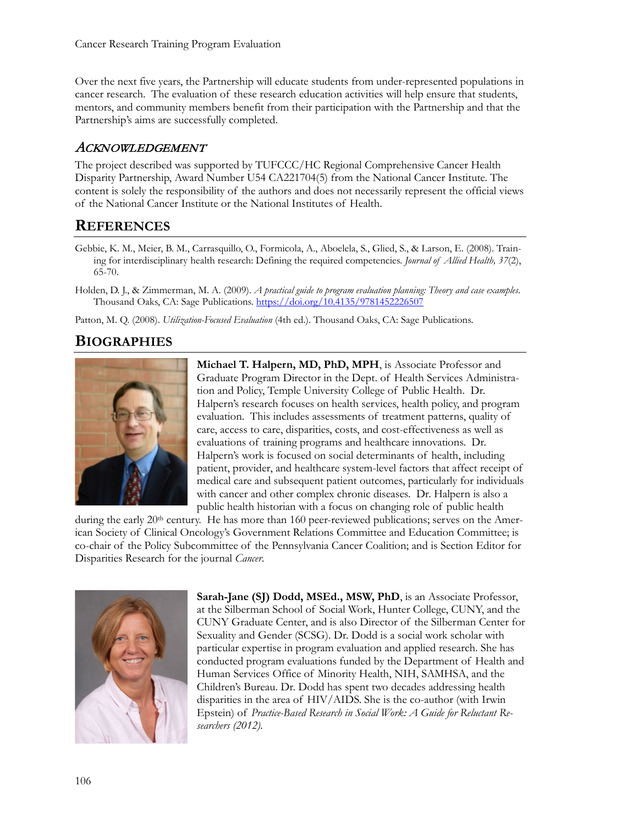Over the next five years, the Partnership will educate students from under-represented populations in cancer research. The evaluation of these research education activities will help ensure that students, mentors, and community members benefit from their participation with the Partnership and that the Partnership's aims are successfully completed.

#### ACKNOWLEDGEMENT

The project described was supported by TUFCCC/HC Regional Comprehensive Cancer Health Disparity Partnership, Award Number U54 CA221704(5) from the National Cancer Institute. The content is solely the responsibility of the authors and does not necessarily represent the official views of the National Cancer Institute or the National Institutes of Health.

## **REFERENCES**

- Gebbie, K. M., Meier, B. M., Carrasquillo, O., Formicola, A., Aboelela, S., Glied, S., & Larson, E. (2008). Training for interdisciplinary health research: Defining the required competencies. *Journal of Allied Health, 37*(2), 65-70.
- Holden, D. J., & Zimmerman, M. A. (2009). *A practical guide to program evaluation planning: Theory and case examples*. Thousand Oaks, CA: Sage Publications.<https://doi.org/10.4135/9781452226507>

Patton, M. Q. (2008). *Utilization-Focused Evaluation* (4th ed.). Thousand Oaks, CA: Sage Publications.

## **BIOGRAPHIES**



**Michael T. Halpern, MD, PhD, MPH**, is Associate Professor and Graduate Program Director in the Dept. of Health Services Administration and Policy, Temple University College of Public Health. Dr. Halpern's research focuses on health services, health policy, and program evaluation. This includes assessments of treatment patterns, quality of care, access to care, disparities, costs, and cost-effectiveness as well as evaluations of training programs and healthcare innovations. Dr. Halpern's work is focused on social determinants of health, including patient, provider, and healthcare system-level factors that affect receipt of medical care and subsequent patient outcomes, particularly for individuals with cancer and other complex chronic diseases. Dr. Halpern is also a public health historian with a focus on changing role of public health

during the early 20<sup>th</sup> century. He has more than 160 peer-reviewed publications; serves on the American Society of Clinical Oncology's Government Relations Committee and Education Committee; is co-chair of the Policy Subcommittee of the Pennsylvania Cancer Coalition; and is Section Editor for Disparities Research for the journal *Cancer*.



**Sarah-Jane (SJ) Dodd, MSEd., MSW, PhD**, is an Associate Professor, at the Silberman School of Social Work, Hunter College, CUNY, and the CUNY Graduate Center, and is also Director of the Silberman Center for Sexuality and Gender (SCSG). Dr. Dodd is a social work scholar with particular expertise in program evaluation and applied research. She has conducted program evaluations funded by the Department of Health and Human Services Office of Minority Health, NIH, SAMHSA, and the Children's Bureau. Dr. Dodd has spent two decades addressing health disparities in the area of HIV/AIDS. She is the co-author (with Irwin Epstein) of *Practice-Based Research in Social Work: A Guide for Reluctant Researchers (2012).*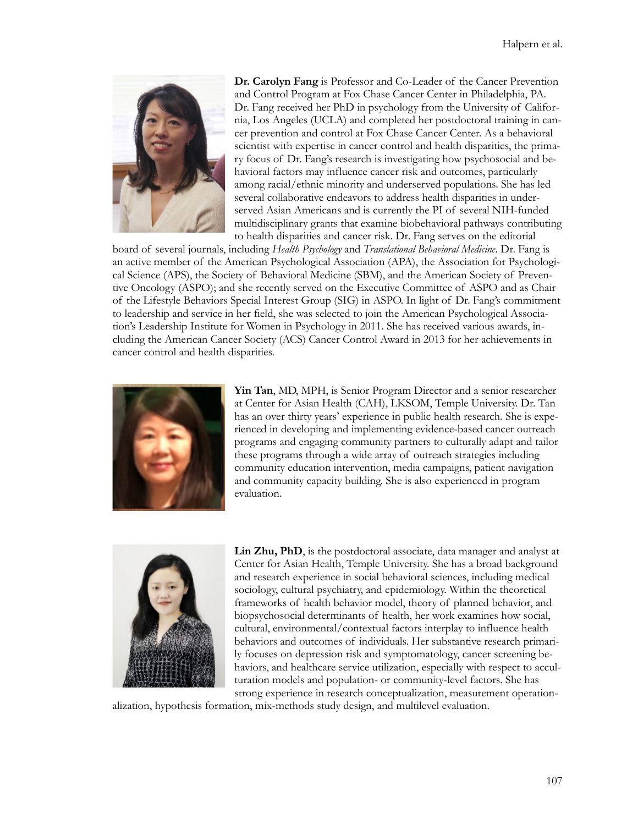

**Dr. Carolyn Fang** is Professor and Co-Leader of the Cancer Prevention and Control Program at Fox Chase Cancer Center in Philadelphia, PA. Dr. Fang received her PhD in psychology from the University of California, Los Angeles (UCLA) and completed her postdoctoral training in cancer prevention and control at Fox Chase Cancer Center. As a behavioral scientist with expertise in cancer control and health disparities, the primary focus of Dr. Fang's research is investigating how psychosocial and behavioral factors may influence cancer risk and outcomes, particularly among racial/ethnic minority and underserved populations. She has led several collaborative endeavors to address health disparities in underserved Asian Americans and is currently the PI of several NIH-funded multidisciplinary grants that examine biobehavioral pathways contributing to health disparities and cancer risk. Dr. Fang serves on the editorial

board of several journals, including *Health Psychology* and *Translational Behavioral Medicine*. Dr. Fang is an active member of the American Psychological Association (APA), the Association for Psychological Science (APS), the Society of Behavioral Medicine (SBM), and the American Society of Preventive Oncology (ASPO); and she recently served on the Executive Committee of ASPO and as Chair of the Lifestyle Behaviors Special Interest Group (SIG) in ASPO. In light of Dr. Fang's commitment to leadership and service in her field, she was selected to join the American Psychological Association's Leadership Institute for Women in Psychology in 2011. She has received various awards, including the American Cancer Society (ACS) Cancer Control Award in 2013 for her achievements in cancer control and health disparities.



**Yin Tan**, MD, MPH, is Senior Program Director and a senior researcher at Center for Asian Health (CAH), LKSOM, Temple University. Dr. Tan has an over thirty years' experience in public health research. She is experienced in developing and implementing evidence-based cancer outreach programs and engaging community partners to culturally adapt and tailor these programs through a wide array of outreach strategies including community education intervention, media campaigns, patient navigation and community capacity building. She is also experienced in program evaluation.



Lin Zhu, PhD, is the postdoctoral associate, data manager and analyst at Center for Asian Health, Temple University. She has a broad background and research experience in social behavioral sciences, including medical sociology, cultural psychiatry, and epidemiology. Within the theoretical frameworks of health behavior model, theory of planned behavior, and biopsychosocial determinants of health, her work examines how social, cultural, environmental/contextual factors interplay to influence health behaviors and outcomes of individuals. Her substantive research primarily focuses on depression risk and symptomatology, cancer screening behaviors, and healthcare service utilization, especially with respect to acculturation models and population- or community-level factors. She has strong experience in research conceptualization, measurement operation-

alization, hypothesis formation, mix-methods study design, and multilevel evaluation.